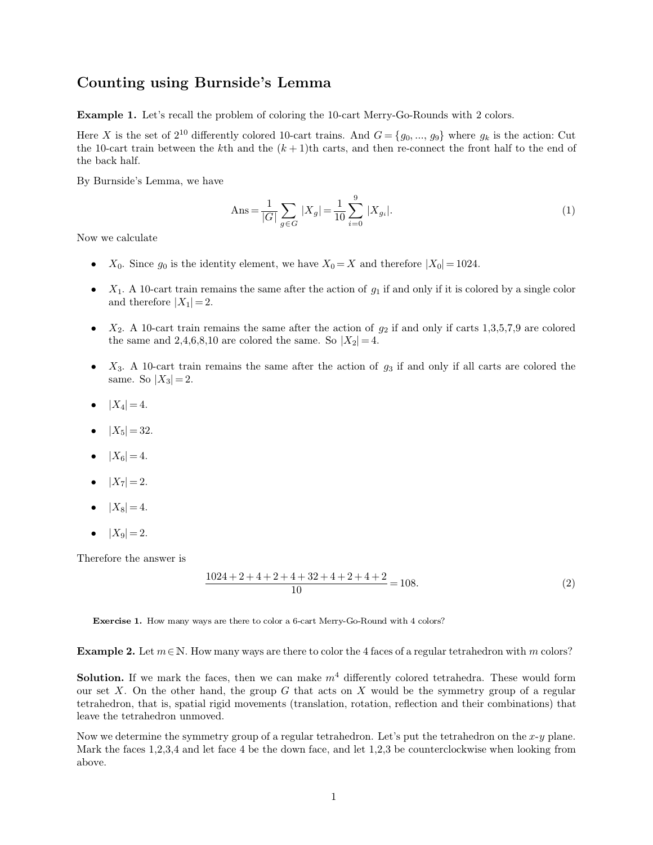## **Counting using Burnside's Lemma**<br>Example 1. Let's recall the problem of coloring the 10-cart Merry

**Counting using Burnside's Lemma**<br>**Example 1.** Let's recall the problem of coloring the 10-cart Merry-Go-Rounds with 2 colors.<br>Here X is the set of  $2^{10}$  differently colored 10-cart trains. And  $G = \{g_0, \ldots, g_0\}$  where

**Counting using Burnside's Lemma**<br> **Example 1.** Let's recall the problem of coloring the 10-cart Merry-Go-Rounds with 2 colors.<br>
Here *X* is the set of 2<sup>10</sup> differently colored 10-cart trains. And  $G = \{g_0, ..., g_9\}$  where **Example 1.** Let's recall the problem of coloring the 10-cart Merry-Go-Rounds with 2 colors.<br>Here *X* is the set of  $2^{10}$  differently colored 10-cart trains. And  $G = \{g_0, ..., g_9\}$  where  $g_k$  is the action: Cut the 10-car **Example 1.** Let's<br>Here  $X$  is the set of<br>the 10-cart train b<br>the back half.<br>By Burnside's Lem **Example 1.** Let's recall the problem<br>Here  $X$  is the set of  $2^{10}$  differently cold<br>the 10-cart train between the  $k$ <sup>th</sup> and<br>the back half.<br>By Burnside's Lemma, we have

By Burnside's Lemma, we have<br>Now we calculate<br> $X_0$ . Since  $q_0$  is the identi-

Ans = 
$$
\frac{1}{|G|} \sum_{g \in G} |X_g| = \frac{1}{10} \sum_{i=0}^{9} |X_{g_i}|.
$$
 (1)

- *X*<sub>0</sub>. Since  $g_0$  is the identity element, we have  $X_0 = X$  and therefore  $|X_0| = 1024$ .<br> *X*<sub>1</sub>. A 10-cart train remains the same after the action of  $g_1$  if and only if it is cold
- *X*<sub>1</sub>. A 10-cart train remains the same after the action of  $g_1$  if and only if it is colored by a single color and therefore  $|X_1| = 2$ .
- $X_0$ . Since  $g_0$  is the identity element, we have  $X_0 = X$  and therefore  $|X_0| = 1024$ .<br>
  $X_1$ . A 10-cart train remains the same after the action of  $g_1$  if and only if it is colored by a single color and therefore <ul>\n<li> <i>X</i><sub>1</sub>. A 10-cart train remains the same after the action of <i>g</i><sub>1</sub> if and only if it is colored by a single color and therefore <math display="inline">|X\_1| = 2</math>.</li>\n<li> <i>X</i><sub>2</sub>. A 10-cart train remains the same after the action of <i>g</i><sub>2</sub> if and only if carts 1,3,5,7,9 are colored the same and 2,4,6,8,10 are colored the same. So <math display="inline">|X\_2| = 4</math>.</li>\n<li> <i>X</i><sub>3</sub>. A 10-cart train remains the same after the action of <i>g</i><sub>3</sub> if and only if •  $X_2$ . A 10-cart train remains<br>the same and 2,4,6,8,10 are<br>•  $X_3$ . A 10-cart train remains<br>same. So  $|X_3| = 2$ .<br>•  $|X_4| = 4$ .<br>•  $|X_5| = 32$ .
- 
- 
- 
- 
- 
- 
- 

•  $|X_4| = 4$ .<br>
•  $|X_5| = 32$ .<br>
•  $|X_6| = 4$ .<br>
•  $|X_7| = 2$ .<br>
•  $|X_8| = 4$ .<br>
•  $|X_9| = 2$ .<br>
Therefore the answer is 102

$$
\frac{1024 + 2 + 4 + 2 + 4 + 32 + 4 + 2 + 4 + 2}{10} = 108.
$$
 (2)

**Exercise 1.** How many ways are there to color a 6-cart Merry-Go-Round with 4 colors?

**Example 2.** Let  $m \in \mathbb{N}$ . How many ways are there to color the 4 faces of a regular tetrahedron with *m* colors?

**Example 2.** Let  $m \in \mathbb{N}$ . How many ways are there to color the 4 faces of a regular tetrahedron with *m* colors?<br>**Solution.** If we mark the faces, then we can make  $m^4$  differently colored tetrahedra. These would for **Example 2.** Let  $m \in \mathbb{N}$ . How many ways are there to color the 4 faces of a regular tetrahedron with *m* colors?<br>**Solution.** If we mark the faces, then we can make  $m^4$  differently colored tetrahedra. These would for **Example 2.** Let  $m \in \mathbb{N}$ . How many ways are there to color the 4 faces of a regular tetrahedron with  $m$  colors?<br>**Solution.** If we mark the faces, then we can make  $m^4$  differently colored tetrahedra. These would for **Example 2.** Let  $m \in \mathbb{N}$ . How many v<br> **Solution.** If we mark the faces, theour set  $X$ . On the other hand, the<br>
tetrahedron, that is, spatial rigid mo<br>
leave the tetrahedron unmoved.<br>
Now we determine the symmetry gro **Solution.** If we mark the faces, then we can make  $m^4$  differently colored tetrahedra. These would form our set X. On the other hand, the group G that acts on X would be the symmetry group of a regular tetrahedron, that our set X. On the other hand, the group G that acts on X would be the symmetry group of a regular tetrahedron, that is, spatial rigid movements (translation, rotation, reflection and their combinations) that leave the tet

above.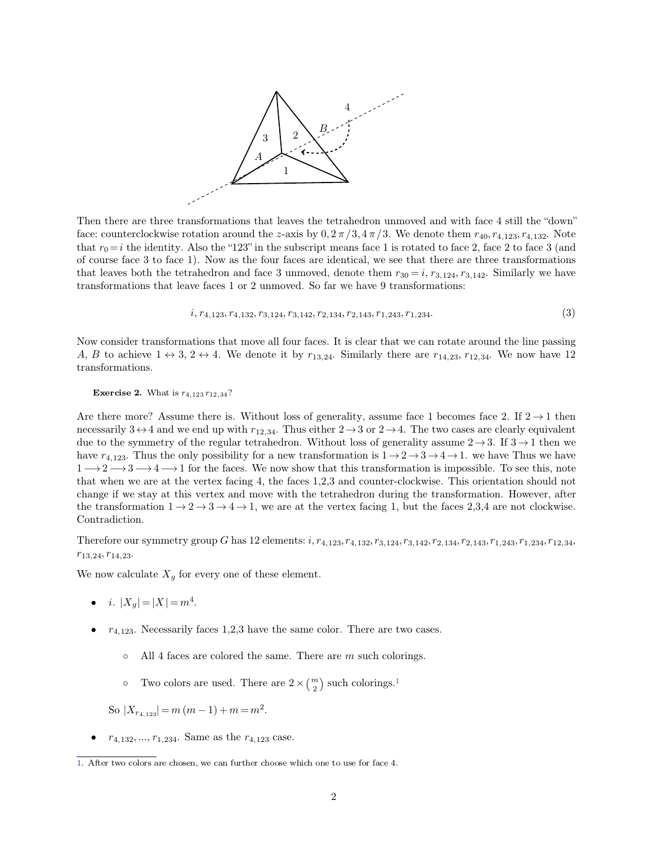

Then there are three transformations that leaves the tetrahedron unmoved and with face 4 still the "down"<br>face: counterclockwise rotation around the z-axis by  $0, 2\pi/3, 4\pi/3$ . We denote them  $r_{40}, r_{4,123}, r_{4,132}$ . Not Then there are three transformations that leaves the tetrahedron unmoved and with face 4 still the "down"<br>face: counterclockwise rotation around the *z*-axis by  $0, 2\pi/3, 4\pi/3$ . We denote them  $r_{40}, r_{4,123}, r_{4,132}$ . N Then there are three transformations that leaves the tetrahedron unmoved and with face 4 still the "down" face: counterclockwise rotation around the *z*-axis by  $0, 2\pi/3, 4\pi/3$ . We denote them  $r_{40}, r_{4,123}, r_{4,132}$ . N Then there are three transformations that leaves the tetrahedron unmoved and with face 4 still the "down"<br>face: counterclockwise rotation around the z-axis by  $0, 2\pi/3, 4\pi/3$ . We denote them  $r_{40}$ ,  $r_{4,123}$ ,  $r_{4,13$ Then there are three transformations that leaves the tetrahedron unmoved and with face 4 still the "down" face: counterclockwise rotation around the *z*-axis by  $0, 2 \pi/3, 4 \pi/3$ . We denote them  $r_{40}, r_{4,123}, r_{4,132}$ . N Then there are three transformations that leaves the tetrahedron unmoved and with face: counterclockwise rotation around the z-axis by  $0, 2\pi/3, 4\pi/3$ . We denote them  $r_{40}$  that  $r_0 = i$  the identity. Also the "123" in *i*). Now as the four faces are identical, we see that there are three transformations rahedron and face 3 unmoved, denote them  $r_{30} = i$ ,  $r_{3,124}$ ,  $r_{3,142}$ . Similarly we have we faces 1 or 2 unmoved. So far we have

$$
i, r_{4,123}, r_{4,132}, r_{3,124}, r_{3,142}, r_{2,134}, r_{2,143}, r_{1,243}, r_{1,234}.
$$
\n
$$
(3)
$$

transformations that leave faces 1 or 2 unmoved. So far we have 9 transformations:<br>  $i, r_{4,123}, r_{4,132}, r_{3,124}, r_{3,142}, r_{2,134}, r_{2,143}, r_{1,243}, r_{1,234}.$  (3)<br>
Now consider transformations that move all four faces. It is cl *A*;  $F_{4,123}, F_{4,123}, F_{3,124}, F_{3,142}, F_{2,134}, F_{2,143}, F_{1,243}, F_{1,234}$ . (3)<br>
Now consider transformations that move all four faces. It is clear that we can rotate around the line passing *A*, *B* to achieve  $1 \leftrightarrow 3, 2 \leftrightarrow 4$ transformations. Exercise 2. What is  $r_{4,123}r_{12,34}$ ?<br>
A, *B* to achieve  $1 \leftrightarrow 3, 2 \leftrightarrow 4$ . We denote it by  $r_{13,24}$ . Similarly there are  $r_{14,23}$ ,  $r_{12,34}$ . We now have 12<br>
transformations.<br>
Exercise 2. What is  $r_{4,123}r_{12,34}$ ?<br>

**Exercise 2.** What is  $r_{4,123}r_{12,34}$ ?<br>Are there more? Assume there is. Without loss of generality, assume face 1 becomes face 2. If  $2 \rightarrow 1$  then<br>necessarily  $3 \leftrightarrow 4$  and we end up with  $r_{12,34}$ . Thus either  $2 \rightarrow 3$  o Exercise 2. What is  $r_{4,123}r_{12,34}$ ?<br>Are there more? Assume there is. Without loss of generality, assume face 1 becomes face 2. If  $2 \rightarrow 1$  then<br>necessarily  $3 \leftrightarrow 4$  and we end up with  $r_{12,34}$ . Thus either  $2 \rightarrow 3$  or **Exercise 2.** What is  $r_{4,123}r_{12,34}$ ?<br>
Are there more? Assume there is. Without loss of generality, assume face 1 becomes face 2. If  $2 \rightarrow 1$  then<br>
necessarily  $3 \leftrightarrow 4$  and we end up with  $r_{12,34}$ . Thus either  $2 \rightarrow 3$ Are there more? Assume there is. Without loss of generality, assume face 1 becomes face 2. If  $2 \rightarrow 1$  then necessarily  $3 \leftrightarrow 4$  and we end up with  $r_{12,34}$ . Thus either  $2 \rightarrow 3$  or  $2 \rightarrow 4$ . The two cases are clearly equiv Are there more? Assume there is. Without loss of generality, assume face 1 becomes face 2. If  $2 \rightarrow 1$  then necessarily  $3 \leftrightarrow 4$  and we end up with  $r_{12,34}$ . Thus either  $2 \rightarrow 3$  or  $2 \rightarrow 4$ . The two cases are clearly equiv necessarily  $3 \leftrightarrow 4$  and we end up with  $r_{12,34}$ . Thus either  $2 \rightarrow 3$  or  $2 \rightarrow 4$ . The two cases are clearly equivalent<br>due to the symmetry of the regular tetrahedron. Without loss of generality assume  $2 \rightarrow 3$ . If  $3 \rightarrow 1$ have  $r_{4,123}$ . Thus the only possibility for a new transformation is  $1 \rightarrow 2 \rightarrow 3 \rightarrow 4 \rightarrow 1$ . we have Thus we have  $1 \rightarrow 2 \rightarrow 3 \rightarrow 4 \rightarrow 1$  for the faces. We now show that this transformation is impossible. To see this, note tha Contradiction.

Therefore our symmetry group G has 12 elements:  $i$ ,  $r_{4,123}$ ,  $r_{4,132}$ ,  $r_{3,124}$ ,  $r_{3,142}$ ,  $r_{2,134}$ ,  $r_{2,143}$ ,  $r_{1,243}$ ,  $r_{1,234}$ ,  $r_{12,34}$ ,  $r_{13,24}$ ,  $r_{14,23}$ .<br>We now calculate  $X_q$  for every one

- *i*.  $|X_g| = |X| = m^4$ .
- *r*<sub>4,123</sub>. Necessarily faces 1,2,3 have the same color. There are two cases.<br>
  $r_{4,123}$ . Necessarily faces 1,2,3 have the same color. There are two cases.  $r_{4,123}$ . Necessarily faces 1,2,3 have the same color. There are two cases.<br>  $\circ$  All 4 faces are colored the same. There are *m* such colorings. for There are two case are  $m$  such colorings.<sup>1</sup>
	-
- 23. Necessarily faces 1,2,3 have the same color<br> **All 4 faces are colored the same. There are 2**  $\times \binom{m}{2}$  **s<br>
<sup>2</sup> Two colors are used. There are 2**  $\times \binom{m}{2}$  **s**  $\binom{m}{2}$  such color *c* <sup>*r*</sup><sub>*x*</sub>  $f(x) = \frac{1}{2}$  *x*  $f(x) = \frac{1}{2}$  *x*  $f(x) = \frac{1}{2}$  *x r*<sub>4,123</sub> = *m* (*m* − 1) + *m* = *m*<sup>2</sup>.<br>
• *r*<sub>4,132</sub>, ..., *r*<sub>1,234</sub>. Same as the *r*<sub>4,123</sub> case.

<span id="page-1-0"></span>So  $|X_{r_{4,123}}| = m(m-1) + m = m^2$ .

<sup>•</sup>  $r_{4,132},..., r_{1,234}.$  Same as the  $r_{4,123}$  case.<br>[1.](#page-1-0) After two colors are chosen, we can further choose which one to use for face 4.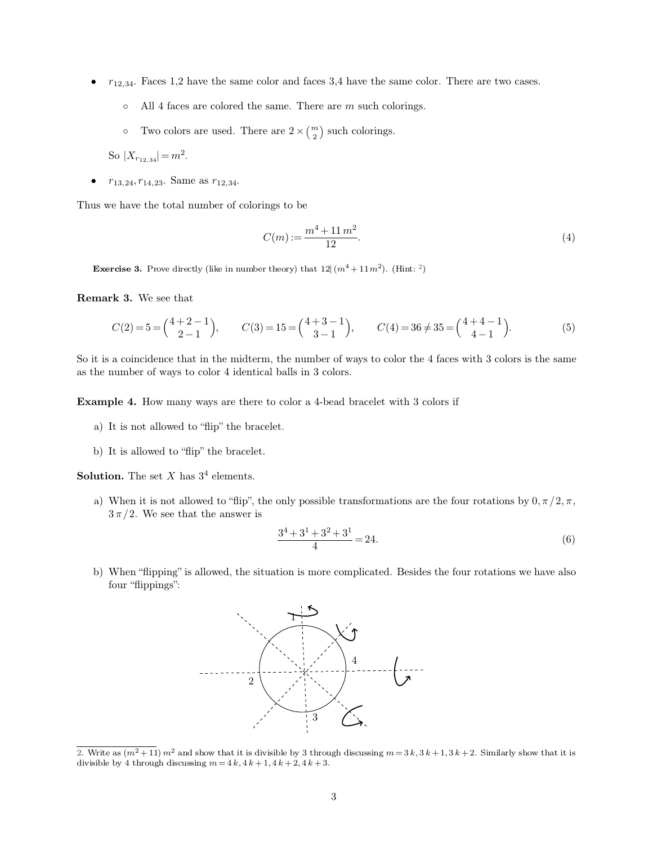- $r_{12,34}$ . Faces 1,2 have the same color and faces 3,4 have the same color. There are two cases.  $A$ <sub>34</sub>. Faces 1,2 have the same color and faces 3,4 have the same color.<br>
All 4 faces are colored the same. There are *m* such colorings. 3,4 have the same<br>are  $m$  such coloring<br>such colorings.
	-
- 34. Faces 1,2 have the same color and faces 3<br>  $\circ$  All 4 faces are colored the same. There are 2  $\times \binom{m}{2}$  s  $\binom{m}{2}$  such color • Two colors are used. There are  $2 \times {m \choose 2}$  suc<br> **80** |*X*<sub>*r*<sub>12,34</sub>| =  $m^2$ .<br>
• *r*<sub>13,24</sub>, *r*<sub>14,23</sub>. Same as *r*<sub>12,34</sub>.<br>
Thus we have the total number of colorings to be</sub>

So  $|X_{r_{12,34}}| = m^2$ .

$$
C(m) := \frac{m^4 + 11 m^2}{12}.
$$
 (4)  
Exercise 3. Prove directly (like in number theory) that 12|  $(m^4 + 11 m^2)$ . (Hint: <sup>2</sup>)

**Exercise 3.** Prove directly (like **Remark 3.** We see that

**Exercise 3.** Prove directly (like in number theory) that 
$$
12|(m^4 + 11m^2)
$$
. (Hint: <sup>2</sup>)  
\n**Remark 3.** We see that  
\n
$$
C(2) = 5 = {4 + 2 - 1 \choose 2 - 1}, \qquad C(3) = 15 = {4 + 3 - 1 \choose 3 - 1}, \qquad C(4) = 36 \neq 35 = {4 + 4 - 1 \choose 4 - 1}.
$$
\n
$$
(5)
$$
\nSo it is a coincidence that in the midterm, the number of ways to color the 4 faces with 3 colors is the same as the number of ways to color 4 identical balls in 3 colors.

 $C(2) = 5 = {4 + 2 - 1 \choose 2 - 1}$ ,  $C(3) = 15 = {4 + 3 - 1 \choose 3 - 1}$ ,<br>So it is a coincidence that in the midterm, the number of ways tas the number of ways to color 4 identical balls in 3 colors. So it is a coincidence that in the midterm, the number of ways to color the 4 faces with 3 as the number of ways to color 4 identical balls in 3 colors.<br> **Example 4.** How many ways are there to color a 4-bead bracelet wit the number of ways to color 4 identical balls in<br> **ample 4.** How many ways are there to color<br>
a) It is not allowed to "flip" the bracelet.

**Example 4.** How many ways are there to color a 4-bead bracelet with 3 colors if a) It is not allowed to "flip" the bracelet.<br>b) It is allowed to "flip" the bracelet.

- 
- 

a) It is not allowed to "flip" the<br>b) It is allowed to "flip" the brace<br>**Solution.** The set *X* has  $3^4$  elemen <sup>4</sup> elements.

b) It is allowed to "flip" the bracelet.<br> **ution.** The set X has  $3^4$  elements.<br>
a) When it is not allowed to "flip", the only possible transformations are the four rotations by  $0, \pi/2, \pi$ ,<br>  $3\pi/2$ . We see that the ans It is allowed to "flip" the bracelet.<br> **on.** The set X has  $3^4$  elements.<br>
When it is not allowed to "flip", the only<br>  $3 \pi / 2$ . We see that the answer is<br>  $3^4 +$ 

<span id="page-2-0"></span>only possible transformations are the four rotations by 
$$
0, \pi/2, \pi
$$
,  
\n
$$
\frac{3^4 + 3^1 + 3^2 + 3^1}{4} = 24.
$$
\n(6)

 $3\pi/2$ . We see that the answer is<br>  $\frac{3^4+3^1+3^2+3^1}{4} = 24.$  (6)<br>
b) When "flipping" is allowed, the situation is more complicated. Besides the four rotations we have also<br>
four "flippings": When "flipping" is alfour "flippings":



<sup>2.</sup> Write as  $(m^2 + 11)$   $m^2$  and show that it is divisible by 3 through discussing  $m = 3k, 3k + 1, 3k + 2$ . Similarly show that it is divisible by 4 through discussing  $m = 4k, 4k + 1, 4k + 2, 4k + 3$ . 2. Write as  $(m^2 + 11)$   $m^2$  and show that it is divisible by 3 through discuss divisible by 4 through discussing  $m = 4k, 4k + 1, 4k + 2, 4k + 3$ .